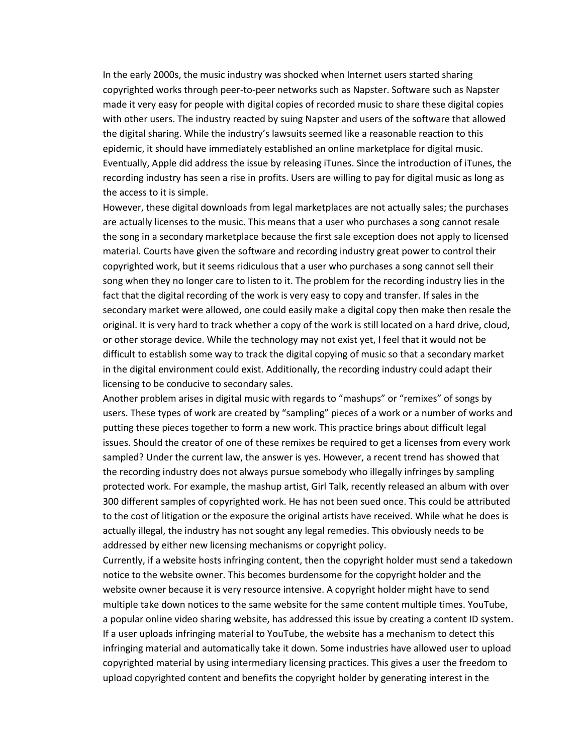In the early 2000s, the music industry was shocked when Internet users started sharing copyrighted works through peer-to-peer networks such as Napster. Software such as Napster made it very easy for people with digital copies of recorded music to share these digital copies with other users. The industry reacted by suing Napster and users of the software that allowed the digital sharing. While the industry's lawsuits seemed like a reasonable reaction to this epidemic, it should have immediately established an online marketplace for digital music. Eventually, Apple did address the issue by releasing iTunes. Since the introduction of iTunes, the recording industry has seen a rise in profits. Users are willing to pay for digital music as long as the access to it is simple.

However, these digital downloads from legal marketplaces are not actually sales; the purchases are actually licenses to the music. This means that a user who purchases a song cannot resale the song in a secondary marketplace because the first sale exception does not apply to licensed material. Courts have given the software and recording industry great power to control their copyrighted work, but it seems ridiculous that a user who purchases a song cannot sell their song when they no longer care to listen to it. The problem for the recording industry lies in the fact that the digital recording of the work is very easy to copy and transfer. If sales in the secondary market were allowed, one could easily make a digital copy then make then resale the original. It is very hard to track whether a copy of the work is still located on a hard drive, cloud, or other storage device. While the technology may not exist yet, I feel that it would not be difficult to establish some way to track the digital copying of music so that a secondary market in the digital environment could exist. Additionally, the recording industry could adapt their licensing to be conducive to secondary sales.

Another problem arises in digital music with regards to "mashups" or "remixes" of songs by users. These types of work are created by "sampling" pieces of a work or a number of works and putting these pieces together to form a new work. This practice brings about difficult legal issues. Should the creator of one of these remixes be required to get a licenses from every work sampled? Under the current law, the answer is yes. However, a recent trend has showed that the recording industry does not always pursue somebody who illegally infringes by sampling protected work. For example, the mashup artist, Girl Talk, recently released an album with over 300 different samples of copyrighted work. He has not been sued once. This could be attributed to the cost of litigation or the exposure the original artists have received. While what he does is actually illegal, the industry has not sought any legal remedies. This obviously needs to be addressed by either new licensing mechanisms or copyright policy.

Currently, if a website hosts infringing content, then the copyright holder must send a takedown notice to the website owner. This becomes burdensome for the copyright holder and the website owner because it is very resource intensive. A copyright holder might have to send multiple take down notices to the same website for the same content multiple times. YouTube, a popular online video sharing website, has addressed this issue by creating a content ID system. If a user uploads infringing material to YouTube, the website has a mechanism to detect this infringing material and automatically take it down. Some industries have allowed user to upload copyrighted material by using intermediary licensing practices. This gives a user the freedom to upload copyrighted content and benefits the copyright holder by generating interest in the